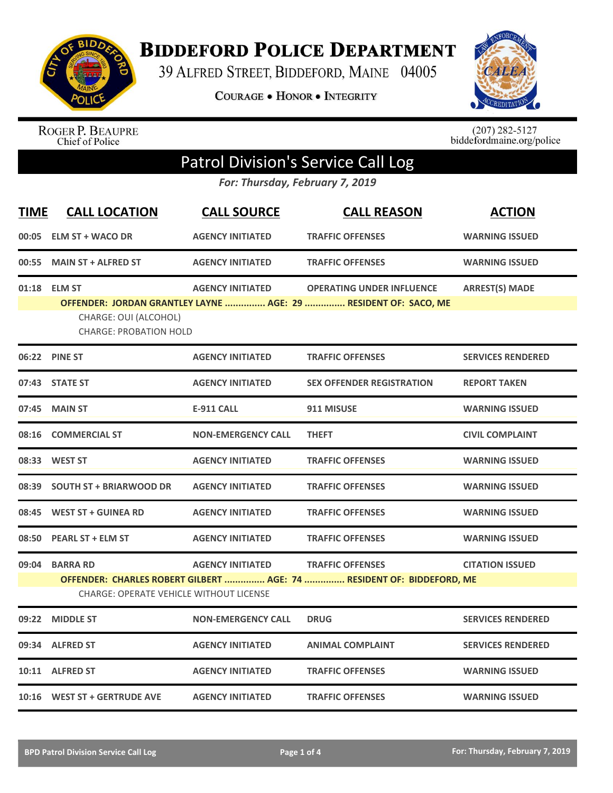

**BIDDEFORD POLICE DEPARTMENT** 

39 ALFRED STREET, BIDDEFORD, MAINE 04005

**COURAGE . HONOR . INTEGRITY** 



ROGER P. BEAUPRE<br>Chief of Police

 $(207)$  282-5127<br>biddefordmaine.org/police

## Patrol Division's Service Call Log

*For: Thursday, February 7, 2019*

| <b>TIME</b> | <b>CALL LOCATION</b>                                                   | <b>CALL SOURCE</b>        | <b>CALL REASON</b>                                                                                  | <b>ACTION</b>            |
|-------------|------------------------------------------------------------------------|---------------------------|-----------------------------------------------------------------------------------------------------|--------------------------|
| 00:05       | <b>ELM ST + WACO DR</b>                                                | <b>AGENCY INITIATED</b>   | <b>TRAFFIC OFFENSES</b>                                                                             | <b>WARNING ISSUED</b>    |
| 00:55       | <b>MAIN ST + ALFRED ST</b>                                             | <b>AGENCY INITIATED</b>   | <b>TRAFFIC OFFENSES</b>                                                                             | <b>WARNING ISSUED</b>    |
|             | 01:18 ELM ST<br>CHARGE: OUI (ALCOHOL)<br><b>CHARGE: PROBATION HOLD</b> | <b>AGENCY INITIATED</b>   | <b>OPERATING UNDER INFLUENCE</b><br>OFFENDER: JORDAN GRANTLEY LAYNE  AGE: 29  RESIDENT OF: SACO, ME | <b>ARREST(S) MADE</b>    |
|             | 06:22 PINE ST                                                          | <b>AGENCY INITIATED</b>   | <b>TRAFFIC OFFENSES</b>                                                                             | <b>SERVICES RENDERED</b> |
|             | 07:43 STATE ST                                                         | <b>AGENCY INITIATED</b>   | <b>SEX OFFENDER REGISTRATION</b>                                                                    | <b>REPORT TAKEN</b>      |
| 07:45       | <b>MAIN ST</b>                                                         | <b>E-911 CALL</b>         | 911 MISUSE                                                                                          | <b>WARNING ISSUED</b>    |
| 08:16       | <b>COMMERCIAL ST</b>                                                   | <b>NON-EMERGENCY CALL</b> | <b>THEFT</b>                                                                                        | <b>CIVIL COMPLAINT</b>   |
| 08:33       | <b>WEST ST</b>                                                         | <b>AGENCY INITIATED</b>   | <b>TRAFFIC OFFENSES</b>                                                                             | <b>WARNING ISSUED</b>    |
| 08:39       | <b>SOUTH ST + BRIARWOOD DR</b>                                         | <b>AGENCY INITIATED</b>   | <b>TRAFFIC OFFENSES</b>                                                                             | <b>WARNING ISSUED</b>    |
| 08:45       | <b>WEST ST + GUINEA RD</b>                                             | <b>AGENCY INITIATED</b>   | <b>TRAFFIC OFFENSES</b>                                                                             | <b>WARNING ISSUED</b>    |
| 08:50       | <b>PEARL ST + ELM ST</b>                                               | <b>AGENCY INITIATED</b>   | <b>TRAFFIC OFFENSES</b>                                                                             | <b>WARNING ISSUED</b>    |
|             | 09:04 BARRA RD<br><b>CHARGE: OPERATE VEHICLE WITHOUT LICENSE</b>       | <b>AGENCY INITIATED</b>   | <b>TRAFFIC OFFENSES</b><br>OFFENDER: CHARLES ROBERT GILBERT  AGE: 74  RESIDENT OF: BIDDEFORD, ME    | <b>CITATION ISSUED</b>   |
| 09:22       | <b>MIDDLE ST</b>                                                       | <b>NON-EMERGENCY CALL</b> | <b>DRUG</b>                                                                                         | <b>SERVICES RENDERED</b> |
| 09:34       | <b>ALFRED ST</b>                                                       | <b>AGENCY INITIATED</b>   | <b>ANIMAL COMPLAINT</b>                                                                             | <b>SERVICES RENDERED</b> |
|             | 10:11 ALFRED ST                                                        | <b>AGENCY INITIATED</b>   | <b>TRAFFIC OFFENSES</b>                                                                             | <b>WARNING ISSUED</b>    |
|             | 10:16 WEST ST + GERTRUDE AVE                                           | <b>AGENCY INITIATED</b>   | <b>TRAFFIC OFFENSES</b>                                                                             | <b>WARNING ISSUED</b>    |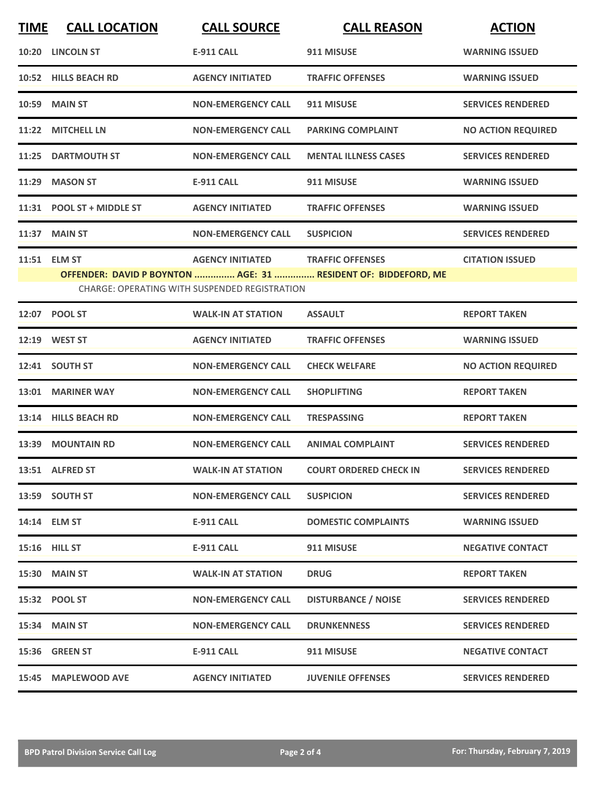| <b>TIME</b> | <b>CALL LOCATION</b>                                                                                            | <b>CALL SOURCE</b>                | <b>CALL REASON</b>            | <b>ACTION</b>             |  |
|-------------|-----------------------------------------------------------------------------------------------------------------|-----------------------------------|-------------------------------|---------------------------|--|
| 10:20       | <b>LINCOLN ST</b>                                                                                               | <b>E-911 CALL</b>                 | 911 MISUSE                    | <b>WARNING ISSUED</b>     |  |
|             | 10:52 HILLS BEACH RD                                                                                            | <b>AGENCY INITIATED</b>           | <b>TRAFFIC OFFENSES</b>       | <b>WARNING ISSUED</b>     |  |
| 10:59       | <b>MAIN ST</b>                                                                                                  | <b>NON-EMERGENCY CALL</b>         | 911 MISUSE                    | <b>SERVICES RENDERED</b>  |  |
|             | 11:22 MITCHELL LN                                                                                               | <b>NON-EMERGENCY CALL</b>         | <b>PARKING COMPLAINT</b>      | <b>NO ACTION REQUIRED</b> |  |
|             | 11:25 DARTMOUTH ST                                                                                              | <b>NON-EMERGENCY CALL</b>         | <b>MENTAL ILLNESS CASES</b>   | <b>SERVICES RENDERED</b>  |  |
| 11:29       | <b>MASON ST</b>                                                                                                 | <b>E-911 CALL</b>                 | 911 MISUSE                    | <b>WARNING ISSUED</b>     |  |
|             | 11:31 POOL ST + MIDDLE ST                                                                                       | <b>AGENCY INITIATED</b>           | <b>TRAFFIC OFFENSES</b>       | <b>WARNING ISSUED</b>     |  |
|             | 11:37 MAIN ST                                                                                                   | <b>NON-EMERGENCY CALL</b>         | <b>SUSPICION</b>              | <b>SERVICES RENDERED</b>  |  |
| 11:51       | <b>ELM ST</b>                                                                                                   | AGENCY INITIATED TRAFFIC OFFENSES |                               | <b>CITATION ISSUED</b>    |  |
|             | OFFENDER: DAVID P BOYNTON  AGE: 31  RESIDENT OF: BIDDEFORD, ME<br>CHARGE: OPERATING WITH SUSPENDED REGISTRATION |                                   |                               |                           |  |
|             | 12:07 POOL ST                                                                                                   | <b>WALK-IN AT STATION</b>         | <b>ASSAULT</b>                | <b>REPORT TAKEN</b>       |  |
|             | 12:19 WEST ST                                                                                                   | <b>AGENCY INITIATED</b>           | <b>TRAFFIC OFFENSES</b>       | <b>WARNING ISSUED</b>     |  |
|             | 12:41 SOUTH ST                                                                                                  | <b>NON-EMERGENCY CALL</b>         | <b>CHECK WELFARE</b>          | <b>NO ACTION REQUIRED</b> |  |
| 13:01       | <b>MARINER WAY</b>                                                                                              | <b>NON-EMERGENCY CALL</b>         | <b>SHOPLIFTING</b>            | <b>REPORT TAKEN</b>       |  |
|             | 13:14 HILLS BEACH RD                                                                                            | <b>NON-EMERGENCY CALL</b>         | <b>TRESPASSING</b>            | <b>REPORT TAKEN</b>       |  |
|             | 13:39 MOUNTAIN RD                                                                                               | <b>NON-EMERGENCY CALL</b>         | <b>ANIMAL COMPLAINT</b>       | <b>SERVICES RENDERED</b>  |  |
|             | 13:51 ALFRED ST                                                                                                 | <b>WALK-IN AT STATION</b>         | <b>COURT ORDERED CHECK IN</b> | <b>SERVICES RENDERED</b>  |  |
|             | 13:59 SOUTH ST                                                                                                  | <b>NON-EMERGENCY CALL</b>         | <b>SUSPICION</b>              | <b>SERVICES RENDERED</b>  |  |
|             | 14:14 ELM ST                                                                                                    | <b>E-911 CALL</b>                 | <b>DOMESTIC COMPLAINTS</b>    | <b>WARNING ISSUED</b>     |  |
|             | 15:16 HILL ST                                                                                                   | E-911 CALL                        | 911 MISUSE                    | <b>NEGATIVE CONTACT</b>   |  |
|             | <b>15:30 MAIN ST</b>                                                                                            | <b>WALK-IN AT STATION</b>         | <b>DRUG</b>                   | <b>REPORT TAKEN</b>       |  |
|             | 15:32 POOL ST                                                                                                   | <b>NON-EMERGENCY CALL</b>         | <b>DISTURBANCE / NOISE</b>    | <b>SERVICES RENDERED</b>  |  |
|             | 15:34 MAIN ST                                                                                                   | <b>NON-EMERGENCY CALL</b>         | <b>DRUNKENNESS</b>            | <b>SERVICES RENDERED</b>  |  |
|             | 15:36 GREEN ST                                                                                                  | <b>E-911 CALL</b>                 | 911 MISUSE                    | <b>NEGATIVE CONTACT</b>   |  |
|             | 15:45 MAPLEWOOD AVE                                                                                             | <b>AGENCY INITIATED</b>           | <b>JUVENILE OFFENSES</b>      | <b>SERVICES RENDERED</b>  |  |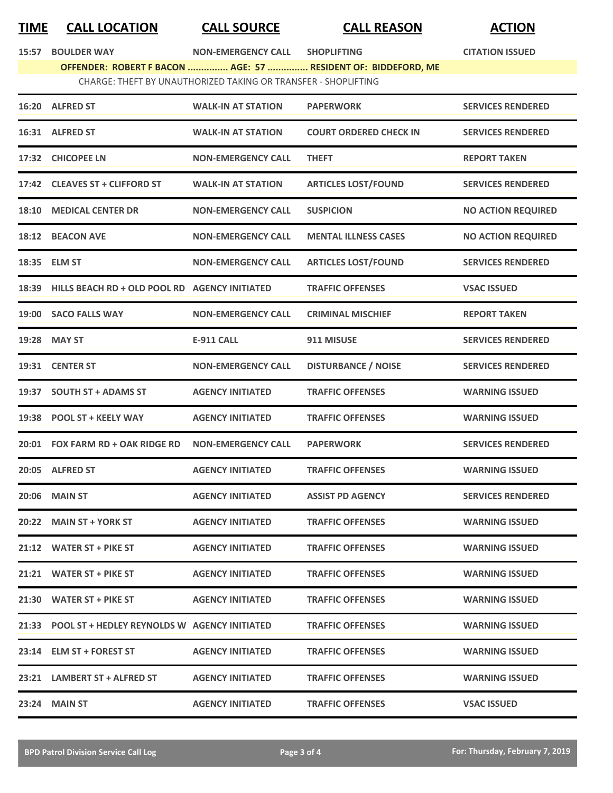## **TIME CALL LOCATION CALL SOURCE CALL REASON ACTION**

**15:57 BOULDER WAY NON-EMERGENCY CALL SHOPLIFTING CITATION ISSUED**

| <b>BOULDER WAY</b><br>15:57 |  |
|-----------------------------|--|
|-----------------------------|--|

**OFFENDER: ROBERT F BACON ............... AGE: 57 ............... RESIDENT OF: BIDDEFORD, ME** CHARGE: THEFT BY UNAUTHORIZED TAKING OR TRANSFER - SHOPLIFTING

|       | 16:20 ALFRED ST                                     | <b>WALK-IN AT STATION</b> | <b>PAPERWORK</b>              | <b>SERVICES RENDERED</b>  |
|-------|-----------------------------------------------------|---------------------------|-------------------------------|---------------------------|
|       | 16:31 ALFRED ST                                     | <b>WALK-IN AT STATION</b> | <b>COURT ORDERED CHECK IN</b> | <b>SERVICES RENDERED</b>  |
|       | 17:32 CHICOPEE LN                                   | <b>NON-EMERGENCY CALL</b> | <b>THEFT</b>                  | <b>REPORT TAKEN</b>       |
|       | 17:42 CLEAVES ST + CLIFFORD ST                      | <b>WALK-IN AT STATION</b> | <b>ARTICLES LOST/FOUND</b>    | <b>SERVICES RENDERED</b>  |
| 18:10 | <b>MEDICAL CENTER DR</b>                            | <b>NON-EMERGENCY CALL</b> | <b>SUSPICION</b>              | <b>NO ACTION REQUIRED</b> |
|       | 18:12 BEACON AVE                                    | <b>NON-EMERGENCY CALL</b> | <b>MENTAL ILLNESS CASES</b>   | <b>NO ACTION REQUIRED</b> |
|       | 18:35 ELM ST                                        | <b>NON-EMERGENCY CALL</b> | <b>ARTICLES LOST/FOUND</b>    | <b>SERVICES RENDERED</b>  |
|       | 18:39 HILLS BEACH RD + OLD POOL RD AGENCY INITIATED |                           | <b>TRAFFIC OFFENSES</b>       | <b>VSAC ISSUED</b>        |
|       | 19:00 SACO FALLS WAY                                | <b>NON-EMERGENCY CALL</b> | <b>CRIMINAL MISCHIEF</b>      | <b>REPORT TAKEN</b>       |
|       | 19:28 MAY ST                                        | <b>E-911 CALL</b>         | 911 MISUSE                    | <b>SERVICES RENDERED</b>  |
|       | 19:31 CENTER ST                                     | <b>NON-EMERGENCY CALL</b> | <b>DISTURBANCE / NOISE</b>    | <b>SERVICES RENDERED</b>  |
|       | 19:37 SOUTH ST + ADAMS ST                           | <b>AGENCY INITIATED</b>   | <b>TRAFFIC OFFENSES</b>       | <b>WARNING ISSUED</b>     |
|       | 19:38 POOL ST + KEELY WAY                           | <b>AGENCY INITIATED</b>   | <b>TRAFFIC OFFENSES</b>       | <b>WARNING ISSUED</b>     |
|       | 20:01 FOX FARM RD + OAK RIDGE RD                    | <b>NON-EMERGENCY CALL</b> | <b>PAPERWORK</b>              | <b>SERVICES RENDERED</b>  |
|       | 20:05 ALFRED ST                                     | <b>AGENCY INITIATED</b>   | <b>TRAFFIC OFFENSES</b>       | <b>WARNING ISSUED</b>     |
| 20:06 | <b>MAIN ST</b>                                      | <b>AGENCY INITIATED</b>   | <b>ASSIST PD AGENCY</b>       | <b>SERVICES RENDERED</b>  |
| 20:22 | <b>MAIN ST + YORK ST</b>                            | <b>AGENCY INITIATED</b>   | <b>TRAFFIC OFFENSES</b>       | <b>WARNING ISSUED</b>     |
|       | 21:12 WATER ST + PIKE ST                            | <b>AGENCY INITIATED</b>   | <b>TRAFFIC OFFENSES</b>       | <b>WARNING ISSUED</b>     |
|       | 21:21 WATER ST + PIKE ST                            | <b>AGENCY INITIATED</b>   | <b>TRAFFIC OFFENSES</b>       | <b>WARNING ISSUED</b>     |
|       | 21:30 WATER ST + PIKE ST                            | <b>AGENCY INITIATED</b>   | <b>TRAFFIC OFFENSES</b>       | <b>WARNING ISSUED</b>     |
|       | 21:33 POOL ST + HEDLEY REYNOLDS W AGENCY INITIATED  |                           | <b>TRAFFIC OFFENSES</b>       | <b>WARNING ISSUED</b>     |
|       | 23:14 ELM ST + FOREST ST                            | <b>AGENCY INITIATED</b>   | <b>TRAFFIC OFFENSES</b>       | <b>WARNING ISSUED</b>     |
|       | 23:21 LAMBERT ST + ALFRED ST                        | <b>AGENCY INITIATED</b>   | <b>TRAFFIC OFFENSES</b>       | <b>WARNING ISSUED</b>     |
|       | 23:24 MAIN ST                                       | <b>AGENCY INITIATED</b>   | <b>TRAFFIC OFFENSES</b>       | <b>VSAC ISSUED</b>        |
|       |                                                     |                           |                               |                           |